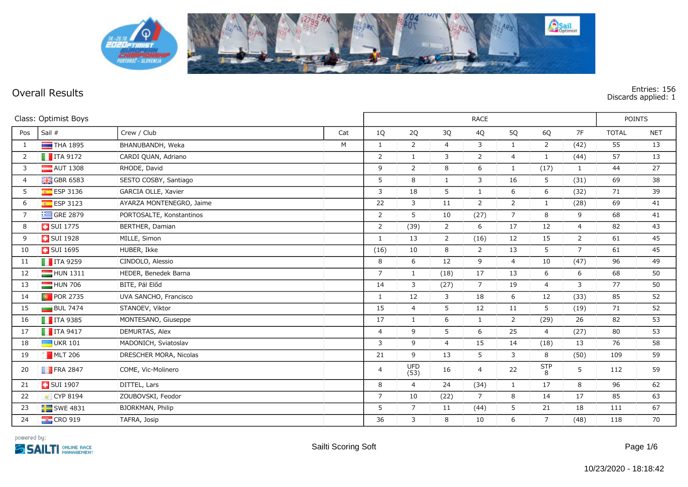

**Overall Results Entries: 156 Discards applied: 1**

|                | Class: Optimist Boys    |                          |     | <b>RACE</b>    |                    |                |                |                |                        |                | <b>POINTS</b> |            |  |
|----------------|-------------------------|--------------------------|-----|----------------|--------------------|----------------|----------------|----------------|------------------------|----------------|---------------|------------|--|
| Pos            | Sail #                  | Crew / Club              | Cat | 1Q             | 2Q                 | 3Q             | 4Q             | 5Q             | 6Q                     | 7F             | <b>TOTAL</b>  | <b>NET</b> |  |
| 1              | $THA$ 1895              | BHANUBANDH, Weka         | M   | $\mathbf{1}$   | $\overline{2}$     | $\overline{4}$ | 3              | $\mathbf{1}$   | $\overline{2}$         | (42)           | 55            | 13         |  |
| 2              | $\blacksquare$ ITA 9172 | CARDI QUAN, Adriano      |     | 2              | $\mathbf{1}$       | 3              | 2              | $\overline{4}$ | $\mathbf{1}$           | (44)           | 57            | 13         |  |
| 3              | $\blacksquare$ AUT 1308 | RHODE, David             |     | 9              | $\overline{2}$     | 8              | 6              | $\mathbf{1}$   | (17)                   | $\mathbf{1}$   | 44            | 27         |  |
| $\overline{4}$ | <b>H</b> GBR 6583       | SESTO COSBY, Santiago    |     | 5              | 8                  | $\mathbf{1}$   | 3              | 16             | 5                      | (31)           | 69            | 38         |  |
| 5              | <b>ESP 3136</b>         | GARCIA OLLE, Xavier      |     | 3              | 18                 | 5              | $\mathbf{1}$   | 6              | 6                      | (32)           | 71            | 39         |  |
| 6              | $E = ESP 3123$          | AYARZA MONTENEGRO, Jaime |     | 22             | 3                  | 11             | $\overline{2}$ | $\overline{2}$ | $\mathbf{1}$           | (28)           | 69            | 41         |  |
| $\overline{7}$ | $\equiv$ GRE 2879       | PORTOSALTE, Konstantinos |     | $\overline{2}$ | 5                  | 10             | (27)           | $\overline{7}$ | 8                      | 9              | 68            | 41         |  |
| 8              | <b>B</b> SUI 1775       | BERTHER, Damian          |     | $\overline{2}$ | (39)               | $\overline{2}$ | 6              | 17             | 12                     | $\overline{4}$ | 82            | 43         |  |
| 9              | <b>B</b> SUI 1928       | MILLE, Simon             |     | 1              | 13                 | $\overline{2}$ | (16)           | 12             | 15                     | $\overline{2}$ | 61            | 45         |  |
| 10             | <b>B</b> SUI 1695       | HUBER, Ikke              |     | (16)           | 10                 | 8              | 2              | 13             | 5                      | $\overline{7}$ | 61            | 45         |  |
| 11             | $\blacksquare$ ITA 9259 | CINDOLO, Alessio         |     | 8              | 6                  | 12             | 9              | $\overline{4}$ | 10                     | (47)           | 96            | 49         |  |
| 12             | $HUN$ 1311              | HÉDER, Benedek Barna     |     | $\overline{7}$ | $\mathbf{1}$       | (18)           | 17             | 13             | 6                      | 6              | 68            | 50         |  |
| 13             | $\Box$ HUN 706          | BITE, Pál Előd           |     | 14             | 3                  | (27)           | $\overline{7}$ | 19             | $\overline{4}$         | 3              | 77            | 50         |  |
| 14             | <b>D</b> POR 2735       | UVA SANCHO, Francisco    |     | 1              | 12                 | 3              | 18             | 6              | 12                     | (33)           | 85            | 52         |  |
| 15             | $\Box$ BUL 7474         | STANOEV, Viktor          |     | 15             | $\overline{4}$     | 5              | 12             | 11             | 5                      | (19)           | 71            | 52         |  |
| 16             | $\blacksquare$ ITA 9385 | MONTESANO, Giuseppe      |     | 17             | $\mathbf{1}$       | 6              | $\mathbf{1}$   | $\overline{2}$ | (29)                   | 26             | 82            | 53         |  |
| 17             | $\blacksquare$ ITA 9417 | DEMURTAS, Alex           |     | $\overline{4}$ | 9                  | 5              | 6              | 25             | $\overline{4}$         | (27)           | 80            | 53         |  |
| 18             | $\Box$ UKR 101          | MADONICH, Sviatoslav     |     | 3              | 9                  | $\overline{4}$ | 15             | 14             | (18)                   | 13             | 76            | 58         |  |
| 19             | $MLT$ 206               | DRESCHER MORA, Nicolas   |     | 21             | 9                  | 13             | 5              | 3              | 8                      | (50)           | 109           | 59         |  |
| 20             | $\blacksquare$ FRA 2847 | CÔME, Vic-Molinero       |     | $\overline{4}$ | <b>UFD</b><br>(53) | 16             | 4              | 22             | $rac{\mathsf{STP}}{8}$ | 5              | 112           | 59         |  |
| 21             | <b>B</b> SUI 1907       | DITTEL, Lars             |     | 8              | $\overline{4}$     | 24             | (34)           | $\mathbf{1}$   | 17                     | 8              | 96            | 62         |  |
| 22             | CYP 8194                | ZOUBOVSKI, Feodor        |     | $\overline{7}$ | 10                 | (22)           | $\overline{7}$ | 8              | 14                     | 17             | 85            | 63         |  |
| 23             | $SWE$ 4831              | BJORKMAN, Philip         |     | 5              | $\overline{7}$     | 11             | (44)           | 5              | 21                     | 18             | 111           | 67         |  |
| 24             | $\frac{12}{10}$ CRO 919 | TAFRA, Josip             |     | 36             | 3                  | 8              | 10             | 6              | $\overline{7}$         | (48)           | 118           | 70         |  |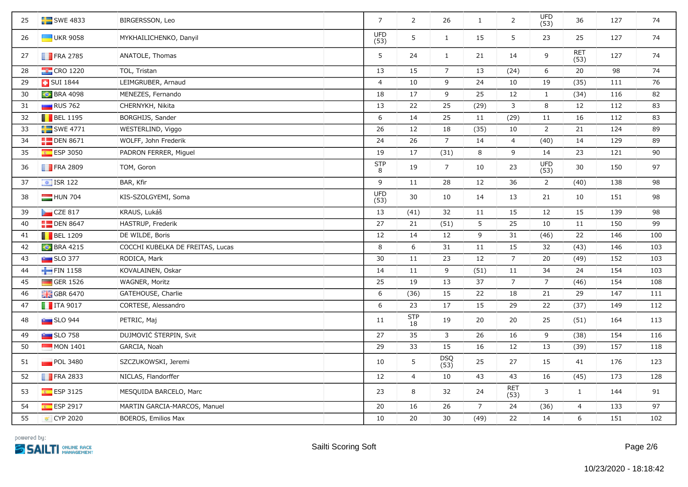| 25 | $\blacksquare$ SWE 4833   | BIRGERSSON, Leo                  | $\overline{7}$     | 2                | 26              | $\mathbf{1}$   | $\overline{2}$     | <b>UFD</b><br>(53) | 36                 | 127 | 74  |
|----|---------------------------|----------------------------------|--------------------|------------------|-----------------|----------------|--------------------|--------------------|--------------------|-----|-----|
| 26 | <b>UKR 9058</b>           | MYKHAILICHENKO, Danyil           | <b>UFD</b><br>(53) | 5                | $\mathbf{1}$    | 15             | 5                  | 23                 | 25                 | 127 | 74  |
| 27 | $\blacksquare$ FRA 2785   | ANATOLE, Thomas                  | 5                  | 24               | $\mathbf{1}$    | 21             | 14                 | 9                  | <b>RET</b><br>(53) | 127 | 74  |
| 28 | <b>EX</b> CRO 1220        | TOL, Tristan                     | 13                 | 15               | $7\overline{ }$ | 13             | (24)               | 6                  | 20                 | 98  | 74  |
| 29 | <b>B</b> SUI 1844         | LEIMGRUBER, Arnaud               | 4                  | 10               | 9               | 24             | 10                 | 19                 | (35)               | 111 | 76  |
| 30 | <b>C</b> BRA 4098         | MENEZES, Fernando                | 18                 | 17               | 9               | 25             | 12                 | $\mathbf{1}$       | (34)               | 116 | 82  |
| 31 | RUS 762                   | CHERNYKH, Nikita                 | 13                 | 22               | 25              | (29)           | 3                  | $\,8\,$            | 12                 | 112 | 83  |
| 32 | $\blacksquare$ BEL 1195   | BORGHIJS, Sander                 | $\boldsymbol{6}$   | 14               | 25              | 11             | (29)               | 11                 | 16                 | 112 | 83  |
| 33 | $SWE$ 4771                | WESTERLIND, Viggo                | 26                 | 12               | 18              | (35)           | 10                 | $\overline{2}$     | 21                 | 124 | 89  |
| 34 | $\Box$ DEN 8671           | WOLFF, John Frederik             | 24                 | 26               | $7^{\circ}$     | 14             | $\overline{4}$     | (40)               | 14                 | 129 | 89  |
| 35 | <b>ESP 3050</b>           | PADRON FERRER, Miguel            | 19                 | 17               | (31)            | 8              | 9                  | 14                 | 23                 | 121 | 90  |
| 36 | <b>FRA 2809</b>           | TOM, Goron                       | <b>STP</b><br>8    | 19               | $\overline{7}$  | 10             | 23                 | <b>UFD</b><br>(53) | 30                 | 150 | 97  |
| 37 | $\boxed{\bullet}$ ISR 122 | BAR, Kfir                        | 9                  | 11               | 28              | 12             | 36                 | $\overline{2}$     | (40)               | 138 | 98  |
| 38 | HUN 704                   | KIS-SZÖLGYÉMI, Soma              | <b>UFD</b><br>(53) | 30               | 10              | 14             | 13                 | 21                 | 10                 | 151 | 98  |
| 39 | CZE 817                   | KRAUS, Lukáš                     | 13                 | (41)             | 32              | 11             | 15                 | 12                 | 15                 | 139 | 98  |
| 40 | $\Box$ DEN 8647           | HASTRUP, Frederik                | 27                 | 21               | (51)            | 5              | 25                 | 10                 | 11                 | 150 | 99  |
| 41 | $\blacksquare$ BEL 1209   | DE WILDE, Boris                  | 12                 | 14               | 12              | 9              | 31                 | (46)               | 22                 | 146 | 100 |
| 42 | <b>C</b> BRA 4215         | COCCHI KUBELKA DE FREITAS, Lucas | $\,8\,$            | 6                | 31              | $11\,$         | 15                 | 32                 | (43)               | 146 | 103 |
| 43 | <b>Extra SLO 377</b>      | RODICA, Mark                     | 30                 | 11               | 23              | $12$           | $\overline{7}$     | 20                 | (49)               | 152 | 103 |
| 44 | FIN 1158                  | KOVALAINEN, Oskar                | 14                 | 11               | 9               | (51)           | 11                 | 34                 | 24                 | 154 | 103 |
| 45 | GER 1526                  | WAGNER, Moritz                   | 25                 | 19               | 13              | 37             | $\overline{7}$     | $\overline{7}$     | (46)               | 154 | 108 |
| 46 | <b>H</b> GBR 6470         | GATEHOUSE, Charlie               | 6                  | (36)             | 15              | 22             | 18                 | 21                 | 29                 | 147 | 111 |
| 47 | $\blacksquare$ ITA 9017   | CORTESE, Alessandro              | 6                  | 23               | 17              | 15             | 29                 | 22                 | (37)               | 149 | 112 |
| 48 | <b>But</b> SLO 944        | PETRIC, Maj                      | 11                 | <b>STP</b><br>18 | 19              | 20             | 20                 | 25                 | (51)               | 164 | 113 |
| 49 | <b>Buy</b> SLO 758        | DUJMOVIČ ŠTERPIN, Svit           | 27                 | 35               | $\mathbf{3}$    | 26             | 16                 | 9                  | (38)               | 154 | 116 |
| 50 | MON 1401                  | GARCIA, Noah                     | 29                 | 33               | 15              | 16             | 12                 | 13                 | (39)               | 157 | 118 |
| 51 | POL 3480                  | SZCZUKOWSKI, Jeremi              | 10                 | 5                | DSQ<br>(53)     | 25             | 27                 | 15                 | 41                 | 176 | 123 |
| 52 | $\blacksquare$ FRA 2833   | NICLAS, Flandorffer              | 12                 | $\overline{4}$   | 10              | 43             | 43                 | 16                 | (45)               | 173 | 128 |
| 53 | $E =$ ESP 3125            | MESQUIDA BARCELO, Marc           | 23                 | 8                | 32              | 24             | <b>RET</b><br>(53) | 3                  | $\mathbf{1}$       | 144 | 91  |
| 54 | $E$ ESP 2917              | MARTIN GARCIA-MARCOS, Manuel     | 20                 | 16               | 26              | $\overline{7}$ | 24                 | (36)               | $\overline{4}$     | 133 | 97  |
| 55 | CYP 2020                  | BOEROS, Emilios Max              | 10                 | 20               | 30              | (49)           | 22                 | 14                 | 6                  | 151 | 102 |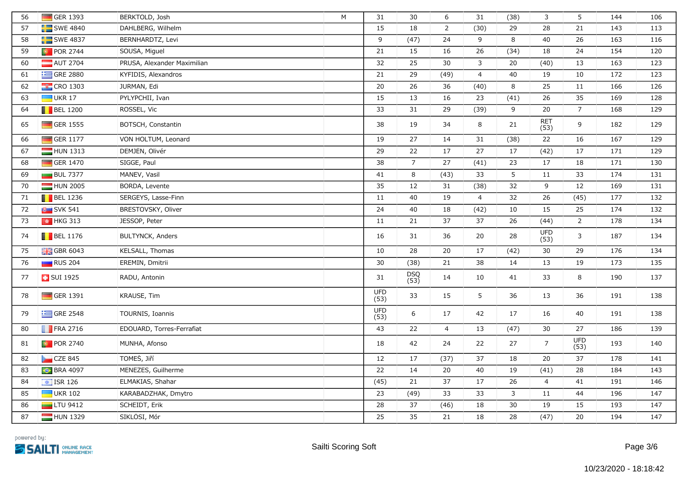| 56 | GER 1393                | BERKTOLD, Josh              | M | 31                 | 30             | 6              | 31             | (38)         | 3                  | 5                  | 144 | 106 |
|----|-------------------------|-----------------------------|---|--------------------|----------------|----------------|----------------|--------------|--------------------|--------------------|-----|-----|
| 57 | SWE 4840                | DAHLBERG, Wilhelm           |   | 15                 | 18             | $\overline{2}$ | (30)           | 29           | 28                 | 21                 | 143 | 113 |
| 58 | $SWE$ 4837              | BERNHARDTZ, Levi            |   | 9                  | (47)           | 24             | 9              | 8            | 40                 | 26                 | 163 | 116 |
| 59 | <b>D</b> POR 2744       | SOUSA, Miguel               |   | 21                 | 15             | 16             | 26             | (34)         | 18                 | 24                 | 154 | 120 |
| 60 | AUT 2704                | PRUSA, Alexander Maximilian |   | 32                 | 25             | 30             | 3              | 20           | (40)               | 13                 | 163 | 123 |
| 61 | $=$ GRE 2880            | KYFIDIS, Alexandros         |   | 21                 | 29             | (49)           | $\overline{4}$ | 40           | 19                 | $10\,$             | 172 | 123 |
| 62 | $\frac{1}{2}$ CRO 1303  | JURMAN, Edi                 |   | 20                 | 26             | 36             | (40)           | 8            | 25                 | 11                 | 166 | 126 |
| 63 | $\Box$ UKR 17           | PYLYPCHII, Ivan             |   | 15                 | 13             | 16             | 23             | (41)         | 26                 | 35                 | 169 | 128 |
| 64 | $\blacksquare$ BEL 1200 | ROSSEL, Vic                 |   | 33                 | 31             | 29             | (39)           | 9            | 20                 | $\overline{7}$     | 168 | 129 |
| 65 | $\Box$ GER 1555         | BÖTSCH, Constantin          |   | 38                 | 19             | 34             | 8              | 21           | <b>RET</b><br>(53) | 9                  | 182 | 129 |
| 66 | GER 1177                | VON HOLTUM, Leonard         |   | 19                 | 27             | 14             | 31             | (38)         | 22                 | 16                 | 167 | 129 |
| 67 | $HUN$ 1313              | DEMJÉN, Olivér              |   | 29                 | 22             | 17             | 27             | 17           | (42)               | 17                 | 171 | 129 |
| 68 | GER 1470                | SIGGE, Paul                 |   | 38                 | $\overline{7}$ | 27             | (41)           | 23           | 17                 | 18                 | 171 | 130 |
| 69 | <b>BUL 7377</b>         | MANEV, Vasil                |   | 41                 | 8              | (43)           | 33             | 5            | 11                 | 33                 | 174 | 131 |
| 70 | HUN 2005                | BORDA, Levente              |   | 35                 | 12             | 31             | (38)           | 32           | 9                  | 12                 | 169 | 131 |
| 71 | $\blacksquare$ BEL 1236 | SERGEYS, Lasse-Finn         |   | 11                 | 40             | 19             | $\overline{4}$ | 32           | 26                 | (45)               | 177 | 132 |
| 72 | <b>B</b> SVK 541        | BRESTOVSKY, Oliver          |   | 24                 | 40             | 18             | (42)           | 10           | 15                 | 25                 | 174 | 132 |
| 73 | $\frac{1}{2}$ HKG 313   | JESSOP, Peter               |   | 11                 | 21             | 37             | 37             | 26           | (44)               | $\overline{2}$     | 178 | 134 |
| 74 | $\blacksquare$ BEL 1176 | <b>BULTYNCK, Anders</b>     |   | 16                 | 31             | 36             | 20             | 28           | <b>UFD</b><br>(53) | $\mathsf{3}$       | 187 | 134 |
| 75 | <b>H</b> GBR 6043       | KELSALL, Thomas             |   | 10                 | 28             | 20             | 17             | (42)         | 30                 | 29                 | 176 | 134 |
| 76 | RUS 204                 | EREMIN, Dmitrii             |   | 30                 | (38)           | 21             | 38             | 14           | 13                 | 19                 | 173 | 135 |
| 77 | <b>B</b> SUI 1925       | RADU, Antonin               |   | 31                 | DSQ<br>(53)    | 14             | 10             | 41           | 33                 | 8                  | 190 | 137 |
| 78 | GER 1391                | KRAUSE, Tim                 |   | <b>UFD</b><br>(53) | 33             | 15             | 5              | 36           | 13                 | 36                 | 191 | 138 |
| 79 | $\equiv$ GRE 2548       | TOURNIS, Ioannis            |   | <b>UFD</b><br>(53) | 6              | 17             | 42             | 17           | 16                 | 40                 | 191 | 138 |
| 80 | $\blacksquare$ FRA 2716 | EDOUARD, Torres-Ferrafiat   |   | 43                 | 22             | $\overline{4}$ | 13             | (47)         | 30                 | 27                 | 186 | 139 |
| 81 | <b>D</b> POR 2740       | MUNHA, Afonso               |   | 18                 | 42             | 24             | 22             | 27           | $\overline{7}$     | <b>UFD</b><br>(53) | 193 | 140 |
| 82 | CZE 845                 | TOMES, Jiří                 |   | 12                 | 17             | (37)           | 37             | 18           | 20                 | $\overline{37}$    | 178 | 141 |
| 83 | <b>C</b> BRA 4097       | MENEZES, Guilherme          |   | 22                 | 14             | 20             | 40             | 19           | (41)               | 28                 | 184 | 143 |
| 84 | $\boxed{\div}$ ISR 126  | ELMAKIAS, Shahar            |   | (45)               | 21             | 37             | 17             | 26           | $\overline{4}$     | 41                 | 191 | 146 |
| 85 | $\Box$ UKR 102          | KARABADZHAK, Dmytro         |   | 23                 | (49)           | 33             | 33             | $\mathsf{3}$ | 11                 | 44                 | 196 | 147 |
| 86 | $LTU$ 9412              | SCHEIDT, Erik               |   | 28                 | 37             | (46)           | 18             | 30           | 19                 | 15                 | 193 | 147 |
| 87 | HUN 1329                | SIKLOSI, Mór                |   | 25                 | 35             | 21             | 18             | 28           | (47)               | 20                 | 194 | 147 |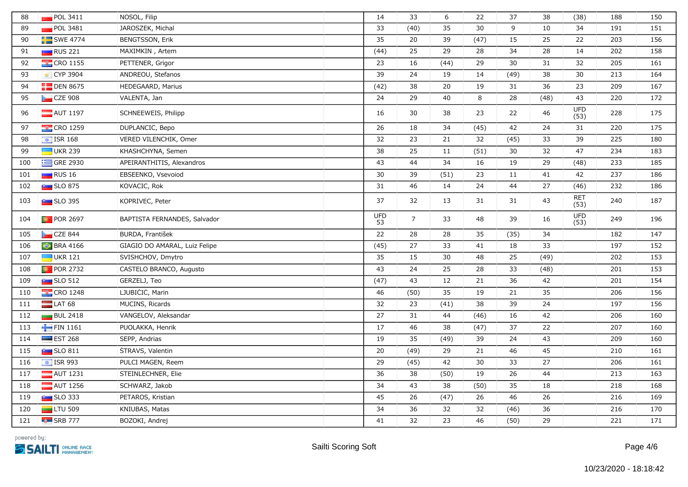| 88  | POL 3411                | NOSOL, Filip                  | 14               | 33             | 6    | 22   | 37   | 38   | (38)               | 188 | 150 |
|-----|-------------------------|-------------------------------|------------------|----------------|------|------|------|------|--------------------|-----|-----|
| 89  | POL 3481                | JAROSZEK, Michal              | 33               | (40)           | 35   | 30   | 9    | 10   | 34                 | 191 | 151 |
| 90  | $\blacksquare$ SWE 4774 | <b>BENGTSSON, Erik</b>        | 35               | 20             | 39   | (47) | 15   | 25   | 22                 | 203 | 156 |
| 91  | $\Box$ RUS 221          | MAXIMKIN, Artem               | (44)             | 25             | 29   | 28   | 34   | 28   | 14                 | 202 | 158 |
| 92  | $\frac{1}{2}$ CRO 1155  | PETTENER, Grigor              | 23               | 16             | (44) | 29   | 30   | 31   | 32                 | 205 | 161 |
| 93  | ₹ CYP 3904              | ANDREOU, Stefanos             | 39               | 24             | 19   | 14   | (49) | 38   | 30                 | 213 | 164 |
| 94  | $\Box$ DEN 8675         | HEDEGAARD, Marius             | (42)             | 38             | 20   | 19   | 31   | 36   | 23                 | 209 | 167 |
| 95  | $CZE$ 908               | VALENTA, Jan                  | 24               | 29             | 40   | 8    | 28   | (48) | 43                 | 220 | 172 |
| 96  | $\blacksquare$ AUT 1197 | SCHNEEWEIS, Philipp           | 16               | 30             | 38   | 23   | 22   | 46   | <b>UFD</b><br>(53) | 228 | 175 |
| 97  | <b>EX</b> CRO 1259      | DUPLANCIC, Bepo               | 26               | 18             | 34   | (45) | 42   | 24   | 31                 | 220 | 175 |
| 98  | $\boxed{\div}$ ISR 168  | VERED VILENCHIK, Omer         | 32               | 23             | 21   | 32   | (45) | 33   | 39                 | 225 | 180 |
| 99  | $\Box$ UKR 239          | KHASHCHYNA, Semen             | 38               | 25             | 11   | (51) | 30   | 32   | 47                 | 234 | 183 |
| 100 | $\equiv$ GRE 2930       | APEIRANTHITIS, Alexandros     | 43               | 44             | 34   | 16   | 19   | 29   | (48)               | 233 | 185 |
| 101 | $\Box$ RUS 16           | EBSEENKO, Vsevoiod            | 30               | 39             | (51) | 23   | 11   | 41   | 42                 | 237 | 186 |
| 102 | $\blacksquare$ SLO 875  | KOVAČIĆ, Rok                  | 31               | 46             | 14   | 24   | 44   | $27$ | (46)               | 232 | 186 |
| 103 | $SLO$ 395               | KOPRIVEC, Peter               | 37               | 32             | 13   | 31   | 31   | 43   | <b>RET</b><br>(53) | 240 | 187 |
| 104 | <b>D</b> POR 2697       | BAPTISTA FERNANDES, Salvador  | <b>UFD</b><br>53 | $\overline{7}$ | 33   | 48   | 39   | 16   | <b>UFD</b><br>(53) | 249 | 196 |
| 105 | CZE 844                 | BURDA, František              | 22               | 28             | 28   | 35   | (35) | 34   |                    | 182 | 147 |
| 106 | <b>C</b> BRA 4166       | GIAGIO DO AMARAL, Luiz Felipe | (45)             | 27             | 33   | 41   | 18   | 33   |                    | 197 | 152 |
| 107 | $\blacksquare$ UKR 121  | SVISHCHOV, Dmytro             | 35               | 15             | 30   | 48   | 25   | (49) |                    | 202 | 153 |
| 108 | $\bullet$ POR 2732      | CASTELO BRANCO, Augusto       | 43               | 24             | 25   | 28   | 33   | (48) |                    | 201 | 153 |
| 109 | $SLO$ 512               | GERŻELJ, Teo                  | (47)             | 43             | 12   | 21   | 36   | 42   |                    | 201 | 154 |
| 110 | $\frac{1}{2}$ CRO 1248  | LJUBICIC, Marin               | 46               | (50)           | 35   | 19   | 21   | 35   |                    | 206 | 156 |
| 111 | $LAT$ 68                | MUCINS, Ricards               | 32               | 23             | (41) | 38   | 39   | 24   |                    | 197 | 156 |
| 112 | <b>BUL 2418</b>         | VANGELOV, Aleksandar          | 27               | 31             | 44   | (46) | 16   | 42   |                    | 206 | 160 |
| 113 | FIN 1161                | PUOLAKKA, Henrik              | 17               | 46             | 38   | (47) | 37   | 22   |                    | 207 | 160 |
| 114 | $\equiv$ EST 268        | SEPP, Andrias                 | 19               | 35             | (49) | 39   | 24   | 43   |                    | 209 | 160 |
| 115 | <b>Extract SLO 811</b>  | STRAVS, Valentin              | 20               | (49)           | 29   | 21   | 46   | 45   |                    | 210 | 161 |
| 116 | $\boxed{\div}$ ISR 993  | PULCI MAGEN, Reem             | 29               | (45)           | 42   | 30   | 33   | 27   |                    | 206 | 161 |
| 117 | $\blacksquare$ AUT 1231 | STEINLECHNER, Elie            | 36               | 38             | (50) | 19   | 26   | 44   |                    | 213 | 163 |
| 118 | $\blacksquare$ AUT 1256 | SCHWARZ, Jakob                | 34               | 43             | 38   | (50) | 35   | 18   |                    | 218 | 168 |
| 119 | $SLO$ 333               | PETAROS, Kristian             | 45               | 26             | (47) | 26   | 46   | 26   |                    | 216 | 169 |
| 120 | $LTU$ 509               | KNIUBAS, Matas                | 34               | 36             | 32   | 32   | (46) | 36   |                    | 216 | 170 |
| 121 | $\overline{AB}$ SRB 777 | BOZOKI, Andrej                | 41               | 32             | 23   | 46   | (50) | 29   |                    | 221 | 171 |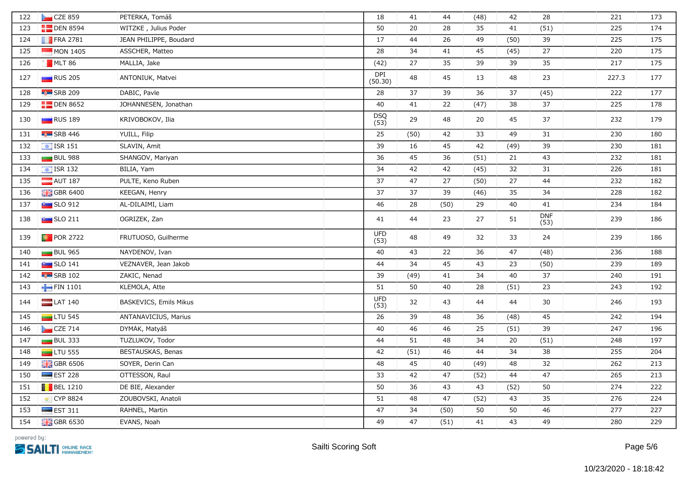| 122 | CZE 859                          | PETERKA, Tomáš         | 18                    | 41   | 44   | (48) | 42   | 28                 | 221   | 173 |
|-----|----------------------------------|------------------------|-----------------------|------|------|------|------|--------------------|-------|-----|
| 123 | $\Box$ DEN 8594                  | WITZKE, Julius Poder   | 50                    | 20   | 28   | 35   | 41   | (51)               | 225   | 174 |
| 124 | $\blacksquare$ FRA 2781          | JEAN PHILIPPE, Boudard | 17                    | 44   | 26   | 49   | (50) | 39                 | 225   | 175 |
| 125 | $MON$ 1405                       | ASSCHER, Matteo        | 28                    | 34   | 41   | 45   | (45) | 27                 | 220   | 175 |
| 126 | MLT 86                           | MALLIA, Jake           | (42)                  | 27   | 35   | 39   | 39   | 35                 | 217   | 175 |
| 127 | RUS 205                          | ANTONIUK, Matvei       | <b>DPI</b><br>(50.30) | 48   | 45   | 13   | 48   | 23                 | 227.3 | 177 |
| 128 | $\overline{\phantom{a}}$ SRB 209 | DABIC, Pavle           | 28                    | 37   | 39   | 36   | 37   | (45)               | 222   | 177 |
| 129 | $\Box$ DEN 8652                  | JOHANNESEN, Jonathan   | 40                    | 41   | 22   | (47) | 38   | 37                 | 225   | 178 |
| 130 | <b>RUS</b> 189                   | KRIVOBOKOV, Ilia       | DSQ<br>(53)           | 29   | 48   | 20   | 45   | 37                 | 232   | 179 |
| 131 | $\overline{\phantom{a}}$ SRB 446 | YUILL, Filip           | 25                    | (50) | 42   | 33   | 49   | 31                 | 230   | 180 |
| 132 | $\boxed{4}$ ISR 151              | SLAVIN, Amit           | 39                    | 16   | 45   | 42   | (49) | 39                 | 230   | 181 |
| 133 | <b>BUL 988</b>                   | SHANGOV, Mariyan       | 36                    | 45   | 36   | (51) | 21   | 43                 | 232   | 181 |
| 134 | $\boxed{\div}$ ISR 132           | BILIA, Yam             | 34                    | 42   | 42   | (45) | 32   | 31                 | 226   | 181 |
| 135 | $\blacksquare$ AUT 187           | PULTE, Keno Ruben      | 37                    | 47   | 27   | (50) | 27   | 44                 | 232   | 182 |
| 136 | <b>H</b> GBR 6400                | KEEGAN, Henry          | 37                    | 37   | 39   | (46) | 35   | 34                 | 228   | 182 |
| 137 | $\sim$ SLO 912                   | AL-DILAIMI, Liam       | 46                    | 28   | (50) | 29   | 40   | 41                 | 234   | 184 |
| 138 | $\sim$ SLO 211                   | OGRIZEK, Żan           | 41                    | 44   | 23   | 27   | 51   | <b>DNF</b><br>(53) | 239   | 186 |
| 139 | <b>D</b> POR 2722                | FRUTUOSO, Guilherme    | <b>UFD</b><br>(53)    | 48   | 49   | 32   | 33   | 24                 | 239   | 186 |
| 140 | $BUL$ 965                        | NAYDENOV, Ivan         | 40                    | 43   | 22   | 36   | 47   | (48)               | 236   | 188 |
| 141 | $\sim$ SLO 141                   | VEZNAVER, Jean Jakob   | 44                    | 34   | 45   | 43   | 23   | (50)               | 239   | 189 |
| 142 | $\overline{\phantom{a}}$ SRB 102 | ZAKIC, Nenad           | 39                    | (49) | 41   | 34   | 40   | 37                 | 240   | 191 |
| 143 | FIN 1101                         | KLEMOLA, Atte          | 51                    | 50   | 40   | 28   | (51) | 23                 | 243   | 192 |
| 144 | $LAT$ 140                        | BASKEVICS, Emils Mikus | <b>UFD</b><br>(53)    | 32   | 43   | 44   | 44   | 30                 | 246   | 193 |
| 145 | $LTU$ 545                        | ANTANAVIČIUS, Marius   | 26                    | 39   | 48   | 36   | (48) | 45                 | 242   | 194 |
| 146 | CZE 714                          | DYMÁK, Matyáš          | 40                    | 46   | 46   | 25   | (51) | 39                 | 247   | 196 |
| 147 | $BUL$ 333                        | TUZLUKOV, Todor        | 44                    | 51   | 48   | 34   | 20   | (51)               | 248   | 197 |
| 148 | $\Box$ LTU 555                   | BESTAUSKAS, Benas      | 42                    | (51) | 46   | 44   | 34   | 38                 | 255   | 204 |
| 149 | $\frac{1}{26}$ GBR 6506          | SOYER, Derin Can       | 48                    | 45   | 40   | (49) | 48   | 32                 | 262   | 213 |
| 150 | $\equiv$ EST 228                 | OTTESSON, Raul         | 33                    | 42   | 47   | (52) | 44   | 47                 | 265   | 213 |
| 151 | $\blacksquare$ BEL 1210          | DE BIE, Alexander      | 50                    | 36   | 43   | 43   | (52) | 50                 | 274   | 222 |
| 152 | ■ CYP 8824                       | ZOUBOVSKI, Anatoli     | 51                    | 48   | 47   | (52) | 43   | 35                 | 276   | 224 |
| 153 | $\equiv$ EST 311                 | RAHNEL, Martin         | 47                    | 34   | (50) | 50   | 50   | 46                 | 277   | 227 |
| 154 | <b>H</b> GBR 6530                | EVANS, Noah            | 49                    | 47   | (51) | 41   | 43   | 49                 | 280   | 229 |

powered by: